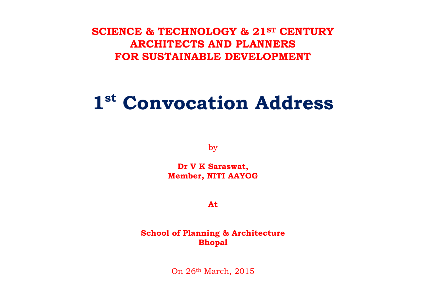**SCIENCE & TECHNOLOGY & 21ST CENTURY ARCHITECTS AND PLANNERS FOR SUSTAINABLE DEVELOPMENT**

# **1st Convocation Address**

by

**Dr V K Saraswat, Member, NITI AAYOG**

**At**

**School of Planning & Architecture Bhopal**

On 26th March, 2015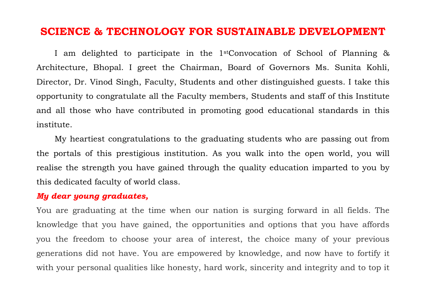# **SCIENCE & TECHNOLOGY FOR SUSTAINABLE DEVELOPMENT**

I am delighted to participate in the 1stConvocation of School of Planning & Architecture, Bhopal. I greet the Chairman, Board of Governors Ms. Sunita Kohli, Director, Dr. Vinod Singh, Faculty, Students and other distinguished guests. I take this opportunity to congratulate all the Faculty members, Students and staff of this Institute and all those who have contributed in promoting good educational standards in this institute.

My heartiest congratulations to the graduating students who are passing out from the portals of this prestigious institution. As you walk into the open world, you will realise the strength you have gained through the quality education imparted to you by this dedicated faculty of world class.

#### *My dear young graduates,*

You are graduating at the time when our nation is surging forward in all fields. The knowledge that you have gained, the opportunities and options that you have affords you the freedom to choose your area of interest, the choice many of your previous generations did not have. You are empowered by knowledge, and now have to fortify it with your personal qualities like honesty, hard work, sincerity and integrity and to top it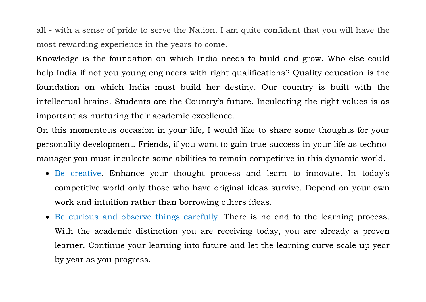all - with a sense of pride to serve the Nation. I am quite confident that you will have the most rewarding experience in the years to come.

Knowledge is the foundation on which India needs to build and grow. Who else could help India if not you young engineers with right qualifications? Quality education is the foundation on which India must build her destiny. Our country is built with the intellectual brains. Students are the Country's future. Inculcating the right values is as important as nurturing their academic excellence.

On this momentous occasion in your life, I would like to share some thoughts for your personality development. Friends, if you want to gain true success in your life as technomanager you must inculcate some abilities to remain competitive in this dynamic world.

- Be creative. Enhance your thought process and learn to innovate. In today's competitive world only those who have original ideas survive. Depend on your own work and intuition rather than borrowing others ideas.
- Be curious and observe things carefully. There is no end to the learning process. With the academic distinction you are receiving today, you are already a proven learner. Continue your learning into future and let the learning curve scale up year by year as you progress.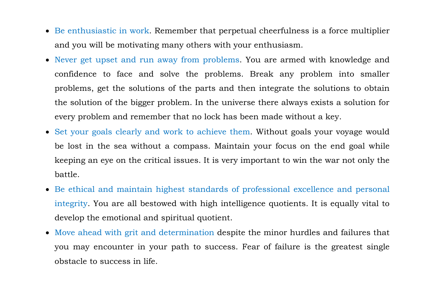- Be enthusiastic in work. Remember that perpetual cheerfulness is a force multiplier and you will be motivating many others with your enthusiasm.
- Never get upset and run away from problems. You are armed with knowledge and confidence to face and solve the problems. Break any problem into smaller problems, get the solutions of the parts and then integrate the solutions to obtain the solution of the bigger problem. In the universe there always exists a solution for every problem and remember that no lock has been made without a key.
- Set your goals clearly and work to achieve them. Without goals your voyage would be lost in the sea without a compass. Maintain your focus on the end goal while keeping an eye on the critical issues. It is very important to win the war not only the battle.
- Be ethical and maintain highest standards of professional excellence and personal integrity. You are all bestowed with high intelligence quotients. It is equally vital to develop the emotional and spiritual quotient.
- Move ahead with grit and determination despite the minor hurdles and failures that you may encounter in your path to success. Fear of failure is the greatest single obstacle to success in life.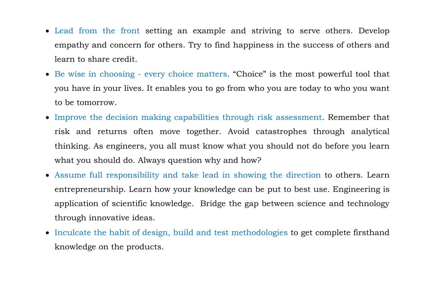- Lead from the front setting an example and striving to serve others. Develop empathy and concern for others. Try to find happiness in the success of others and learn to share credit.
- Be wise in choosing every choice matters. "Choice" is the most powerful tool that you have in your lives. It enables you to go from who you are today to who you want to be tomorrow.
- Improve the decision making capabilities through risk assessment. Remember that risk and returns often move together. Avoid catastrophes through analytical thinking. As engineers, you all must know what you should not do before you learn what you should do. Always question why and how?
- Assume full responsibility and take lead in showing the direction to others. Learn entrepreneurship. Learn how your knowledge can be put to best use. Engineering is application of scientific knowledge. Bridge the gap between science and technology through innovative ideas.
- Inculcate the habit of design, build and test methodologies to get complete firsthand knowledge on the products.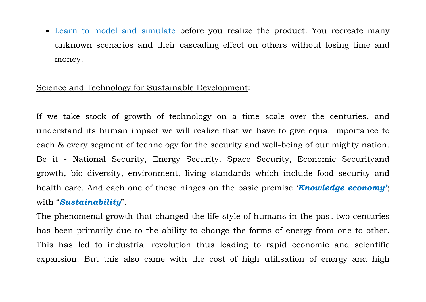• Learn to model and simulate before you realize the product. You recreate many unknown scenarios and their cascading effect on others without losing time and money.

#### Science and Technology for Sustainable Development:

If we take stock of growth of technology on a time scale over the centuries, and understand its human impact we will realize that we have to give equal importance to each & every segment of technology for the security and well-being of our mighty nation. Be it - National Security, Energy Security, Space Security, Economic Securityand growth, bio diversity, environment, living standards which include food security and health care. And each one of these hinges on the basic premise '*Knowledge economy'*; with "*Sustainability*".

The phenomenal growth that changed the life style of humans in the past two centuries has been primarily due to the ability to change the forms of energy from one to other. This has led to industrial revolution thus leading to rapid economic and scientific expansion. But this also came with the cost of high utilisation of energy and high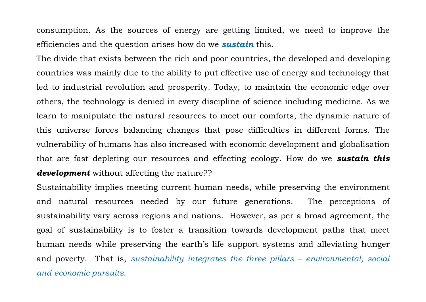consumption. As the sources of energy are getting limited, we need to improve the efficiencies and the question arises how do we *sustain* this.

The divide that exists between the rich and poor countries, the developed and developing countries was mainly due to the ability to put effective use of energy and technology that led to industrial revolution and prosperity. Today, to maintain the economic edge over others, the technology is denied in every discipline of science including medicine. As we learn to manipulate the natural resources to meet our comforts, the dynamic nature of this universe forces balancing changes that pose difficulties in different forms. The vulnerability of humans has also increased with economic development and globalisation that are fast depleting our resources and effecting ecology. How do we *sustain this development* without affecting the nature??

Sustainability implies meeting current human needs, while preserving the environment and natural resources needed by our future generations. The perceptions of sustainability vary across regions and nations. However, as per a broad agreement, the goal of sustainability is to foster a transition towards development paths that meet human needs while preserving the earth's life support systems and alleviating hunger and poverty. That is, *sustainability integrates the three pillars – environmental, social and economic pursuits*.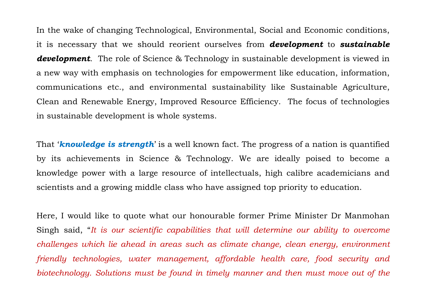In the wake of changing Technological, Environmental, Social and Economic conditions, it is necessary that we should reorient ourselves from *development* to *sustainable development*. The role of Science & Technology in sustainable development is viewed in a new way with emphasis on technologies for empowerment like education, information, communications etc., and environmental sustainability like Sustainable Agriculture, Clean and Renewable Energy, Improved Resource Efficiency. The focus of technologies in sustainable development is whole systems.

That '*knowledge is strength*' is a well known fact. The progress of a nation is quantified by its achievements in Science & Technology. We are ideally poised to become a knowledge power with a large resource of intellectuals, high calibre academicians and scientists and a growing middle class who have assigned top priority to education.

Here, I would like to quote what our honourable former Prime Minister Dr Manmohan Singh said, "*It is our scientific capabilities that will determine our ability to overcome challenges which lie ahead in areas such as climate change, clean energy, environment friendly technologies, water management, affordable health care, food security and biotechnology. Solutions must be found in timely manner and then must move out of the*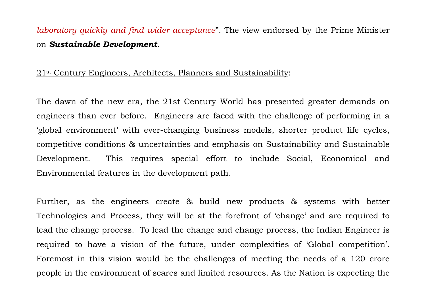# *laboratory quickly and find wider acceptance*". The view endorsed by the Prime Minister on *Sustainable Development*.

#### 21st Century Engineers, Architects, Planners and Sustainability:

The dawn of the new era, the 21st Century World has presented greater demands on engineers than ever before. Engineers are faced with the challenge of performing in a 'global environment' with ever-changing business models, shorter product life cycles, competitive conditions & uncertainties and emphasis on Sustainability and Sustainable Development. This requires special effort to include Social, Economical and Environmental features in the development path.

Further, as the engineers create & build new products & systems with better Technologies and Process, they will be at the forefront of 'change' and are required to lead the change process. To lead the change and change process, the Indian Engineer is required to have a vision of the future, under complexities of 'Global competition'. Foremost in this vision would be the challenges of meeting the needs of a 120 crore people in the environment of scares and limited resources. As the Nation is expecting the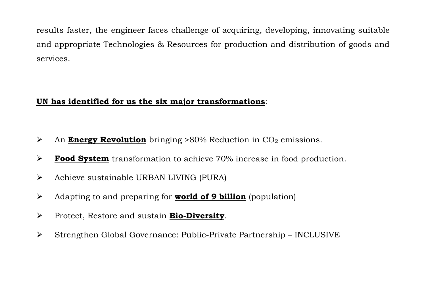results faster, the engineer faces challenge of acquiring, developing, innovating suitable and appropriate Technologies & Resources for production and distribution of goods and services.

# **UN has identified for us the six major transformations**:

- > An **Energy Revolution** bringing >80% Reduction in CO<sub>2</sub> emissions.
- $\blacktriangleright$ **Food System** transformation to achieve 70% increase in food production.
- $\triangleright$  Achieve sustainable URBAN LIVING (PURA)
- Adapting to and preparing for **world of 9 billion** (population)
- Protect, Restore and sustain **Bio-Diversity** .
- $\triangleright$  Strengthen Global Governance: Public-Private Partnership INCLUSIVE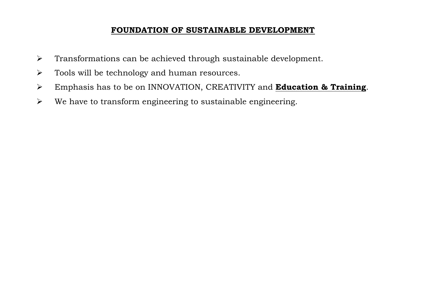# **FOUNDATION OF SUSTAINABLE DEVELOPMENT**

- $\triangleright$  Transformations can be achieved through sustainable development.
- $\triangleright$  Tools will be technology and human resources.
- Emphasis has to be on INNOVATION, CREATIVITY and **Education & Training** .
- $\triangleright$  We have to transform engineering to sustainable engineering.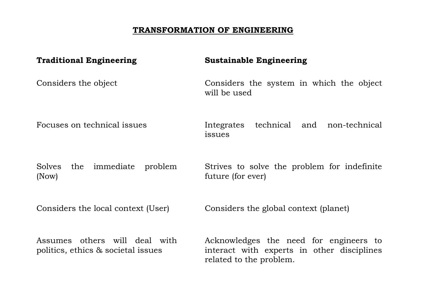# **TRANSFORMATION OF ENGINEERING**

| <b>Traditional Engineering</b>                                      | <b>Sustainable Engineering</b>                                                                                  |
|---------------------------------------------------------------------|-----------------------------------------------------------------------------------------------------------------|
| Considers the object                                                | Considers the system in which the object<br>will be used                                                        |
| Focuses on technical issues                                         | Integrates technical and non-technical<br>issues                                                                |
| the immediate problem<br>Solves<br>(Now)                            | Strives to solve the problem for indefinite<br>future (for ever)                                                |
| Considers the local context (User)                                  | Considers the global context (planet)                                                                           |
| Assumes others will deal with<br>politics, ethics & societal issues | Acknowledges the need for engineers to<br>interact with experts in other disciplines<br>related to the problem. |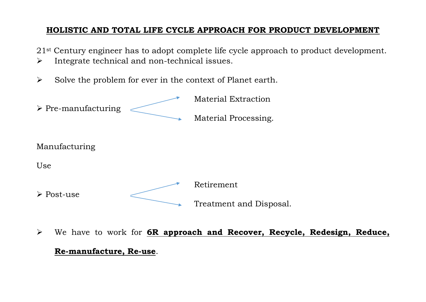# **HOLISTIC AND TOTAL LIFE CYCLE APPROACH FOR PRODUCT DEVELOPMENT**

21<sup>st</sup> Century engineer has to adopt complete life cycle approach to product development.

- $\triangleright$  Integrate technical and non-technical issues.
- $\triangleright$  Solve the problem for ever in the context of Planet earth.



 We have to work for **6R approach and Recover, Recycle, Redesign, Reduce, Re-manufacture, Re-use**.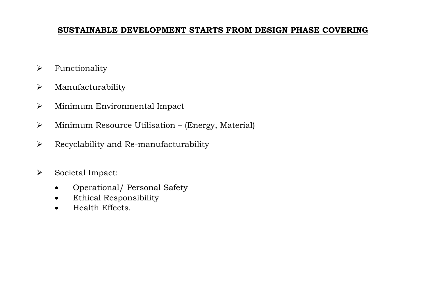## **SUSTAINABLE DEVELOPMENT STARTS FROM DESIGN PHASE COVERING**

- $\triangleright$  Functionality
- $\triangleright$  Manufacturability
- Minimum Environmental Impact
- $\triangleright$  Minimum Resource Utilisation (Energy, Material)
- $\triangleright$  Recyclability and Re-manufacturability
- > Societal Impact:
	- Operational/ Personal Safety
	- Ethical Responsibility
	- Health Effects.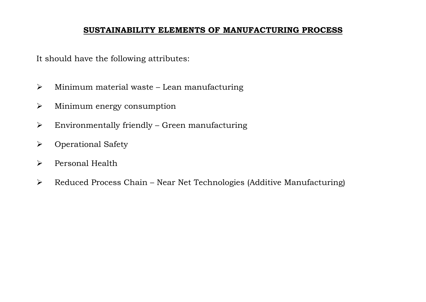## **SUSTAINABILITY ELEMENTS OF MANUFACTURING PROCESS**

It should have the following attributes:

- $\triangleright$  Minimum material waste Lean manufacturing
- Minimum energy consumption
- $\triangleright$  Environmentally friendly Green manufacturing
- Operational Safety
- Personal Health
- $\triangleright$  Reduced Process Chain Near Net Technologies (Additive Manufacturing)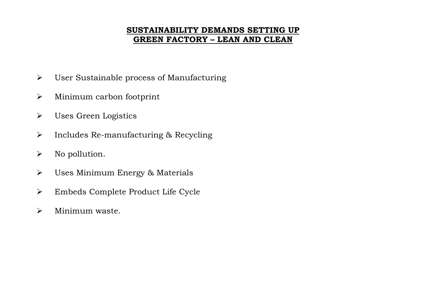# **SUSTAINABILITY DEMANDS SETTING UP GREEN FACTORY – LEAN AND CLEAN**

- User Sustainable process of Manufacturing
- Minimum carbon footprint
- Uses Green Logistics
- $\triangleright$  Includes Re-manufacturing & Recycling
- $\triangleright$  No pollution.
- Uses Minimum Energy & Materials
- Embeds Complete Product Life Cycle
- Minimum waste.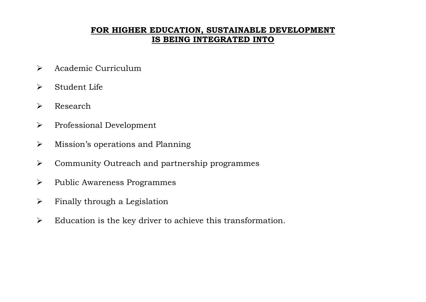# **FOR HIGHER EDUCATION, SUSTAINABLE DEVELOPMENT IS BEING INTEGRATED INTO**

- $\triangleright$  Academic Curriculum
- Student Life
- Research
- $\triangleright$  Professional Development
- $\triangleright$  Mission's operations and Planning
- Community Outreach and partnership programmes
- $\triangleright$  Public Awareness Programmes
- $\triangleright$  Finally through a Legislation
- $\triangleright$  Education is the key driver to achieve this transformation.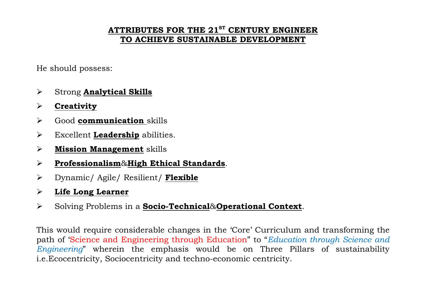# **ATTRIBUTES FOR THE 21ST CENTURY ENGINEER TO ACHIEVE SUSTAINABLE DEVELOPMENT**

He should possess:

- Strong **Analytical Skills**
- $\blacktriangleright$ **Creativity**
- Good **communication**  skills
- Excellent **Leadership** abilities.
- $\blacktriangleright$ **Mission Management** skills
- $\blacktriangleright$ **Professionalism**&**High Ethical Standards** .
- Dynamic/ Agile/ Resilient/ **Flexible**
- $\blacktriangleright$ **Life Long Learner**
- Solving Problems in a **Socio-Technical**&**Operational Context**.

This would require considerable changes in the 'Core' Curriculum and transforming the path of 'Science and Engineering through Education" to "*Education through Science and Engineering*" wherein the emphasis would be on Three Pillars of sustainability i.e.Ecocentricity, Sociocentricity and techno-economic centricity.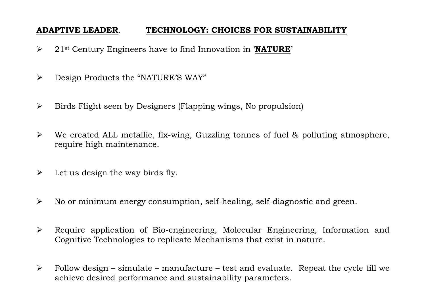# **ADAPTIVE LEADER**. **TECHNOLOGY: CHOICES FOR SUSTAINABILITY**

- 21st Century Engineers have to find Innovation in '**NATURE**'
- Design Products the "NATURE'S WAY"
- $\triangleright$  Birds Flight seen by Designers (Flapping wings, No propulsion)
- $\triangleright$  We created ALL metallic, fix-wing, Guzzling tonnes of fuel & polluting atmosphere, require high maintenance.
- $\triangleright$  Let us design the way birds fly.
- $\triangleright$  No or minimum energy consumption, self-healing, self-diagnostic and green.
- Require application of Bio-engineering, Molecular Engineering, Information and Cognitive Technologies to replicate Mechanisms that exist in nature.
- $\triangleright$  Follow design simulate manufacture test and evaluate. Repeat the cycle till we achieve desired performance and sustainability parameters.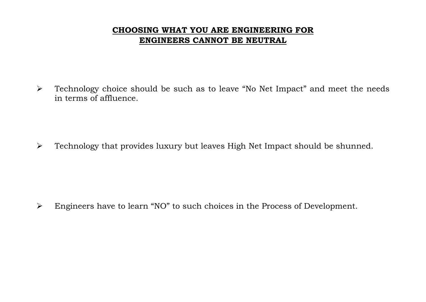# **CHOOSING WHAT YOU ARE ENGINEERING FOR ENGINEERS CANNOT BE NEUTRAL**

> Technology choice should be such as to leave "No Net Impact" and meet the needs in terms of affluence.

Technology that provides luxury but leaves High Net Impact should be shunned.

Engineers have to learn "NO" to such choices in the Process of Development.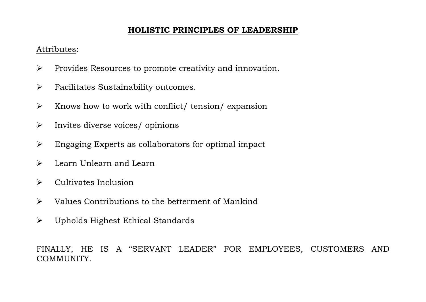# **HOLISTIC PRINCIPLES OF LEADERSHIP**

#### Attributes:

- $\triangleright$  Provides Resources to promote creativity and innovation.
- > Facilitates Sustainability outcomes.
- $\triangleright$  Knows how to work with conflict/ tension/ expansion
- $\triangleright$  Invites diverse voices/ opinions
- Engaging Experts as collaborators for optimal impact
- > Learn Unlearn and Learn
- $\triangleright$  Cultivates Inclusion
- $\triangleright$  Values Contributions to the betterment of Mankind
- Upholds Highest Ethical Standards

FINALLY, HE IS A "SERVANT LEADER" FOR EMPLOYEES, CUSTOMERS AND COMMUNITY.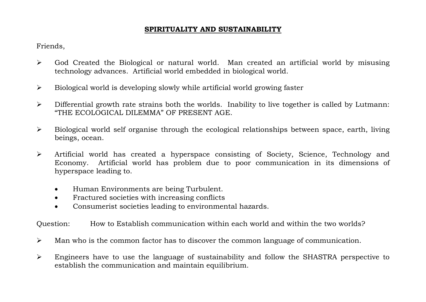#### **SPIRITUALITY AND SUSTAINABILITY**

Friends,

- God Created the Biological or natural world. Man created an artificial world by misusing technology advances. Artificial world embedded in biological world.
- $\triangleright$  Biological world is developing slowly while artificial world growing faster
- $\triangleright$  Differential growth rate strains both the worlds. Inability to live together is called by Lutmann: "THE ECOLOGICAL DILEMMA" OF PRESENT AGE.
- $\triangleright$  Biological world self organise through the ecological relationships between space, earth, living beings, ocean.
- Artificial world has created a hyperspace consisting of Society, Science, Technology and Economy. Artificial world has problem due to poor communication in its dimensions of hyperspace leading to.
	- Human Environments are being Turbulent.
	- Fractured societies with increasing conflicts
	- Consumerist societies leading to environmental hazards.

Question: How to Establish communication within each world and within the two worlds?

- $\triangleright$  Man who is the common factor has to discover the common language of communication.
- Engineers have to use the language of sustainability and follow the SHASTRA perspective to establish the communication and maintain equilibrium.